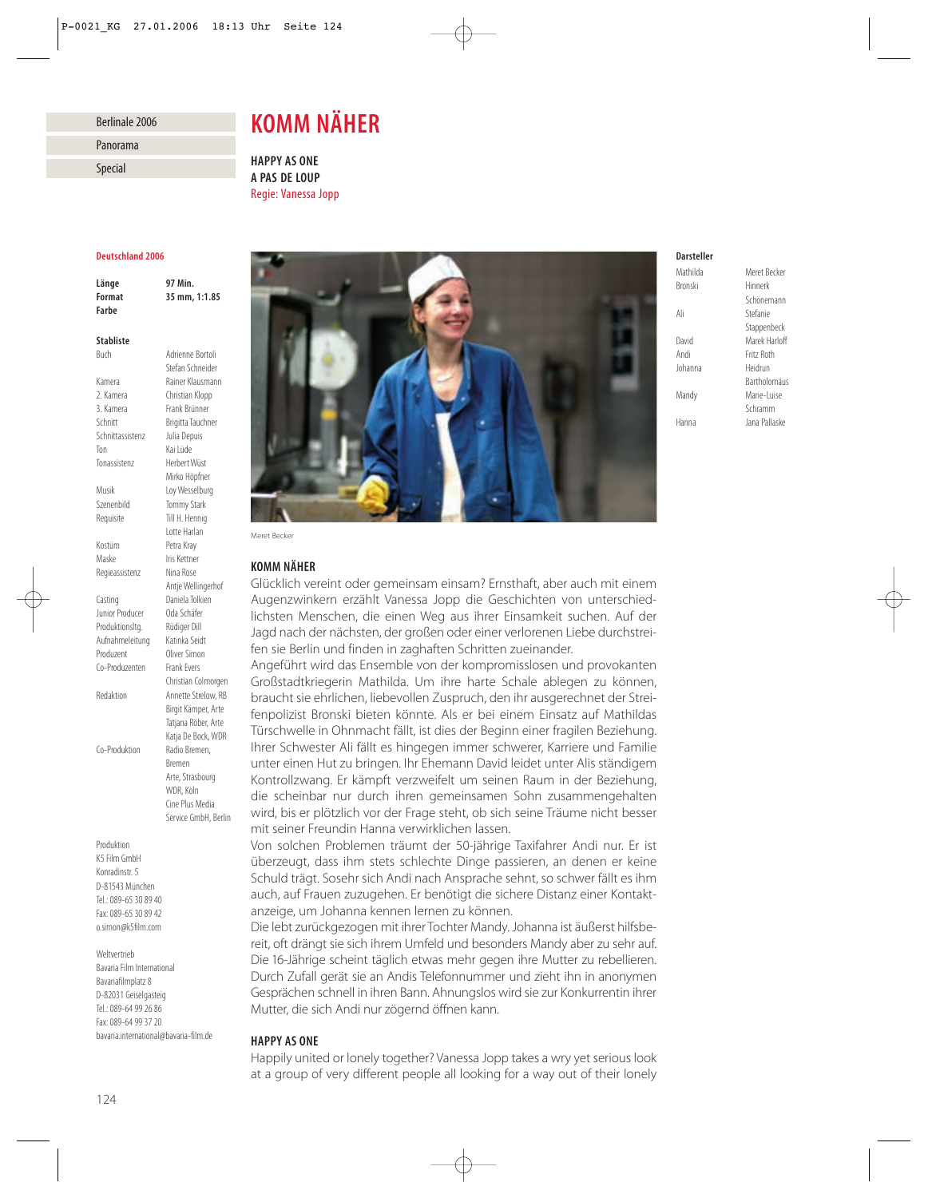## Berlinale 2006

Panorama

Special

# *KOMM NÄHER*

*HAPPY AS ONE A PAS DE LOUP* Regie: Vanessa Jopp

### *Deutschland 2006*

*Länge 97 Min. Format 35 mm, 1:1.85 Farbe*

### *Stabliste*

Buch Adrienne Bortoli Stefan Schneider Kamera Rainer Klausmann 2. Kamera Christian Klopp 3. Kamera Frank Brünner Schnitt Brigitta Tauchner Schnittassistenz Julia Depuis Ton Kai Lüde Tonassistenz Herbert Wüst Mirko Höpfner Musik Loy Wesselburg Szenenbild Tommy Stark Requisite Till H. Hennig Lotte Harlan Kostüm Petra Kray Maske Iris Kettner Regieassistenz Nina Rose Antje Wellingerhof Casting Daniela Tolkien Junior Producer Oda Schäfer Produktionsltg. Rüdiger Dill Aufnahmeleitung Katinka Seidt Produzent Oliver Simon Co-Produzenten Frank Evers Christian Colmorgen Redaktion Annette Strelow, RB Birgit Kämper, Arte Tatiana Röber, Arte Katja De Bock, WDR Co-Produktion Radio Bremen, Bremen Arte, Strasbourg WDR Köln Cine Plus Media Service GmbH, Berlin

Produktion K5 Film GmbH Konradinstr. 5 D-81543 München Tel.: 089-65 30 89 40 Fax: 089-65 30 89 42 o.simon@k5film.com

Weltvertrieb Bavaria Film International Bavariafilmplatz 8 D-82031 Geiselgasteig Tel.: 089-64 99 26 86 Fax: 089-64 99 37 20 bavaria.international@bavaria-film.de



Meret Becker

# *KOMM NÄHER*

Glücklich vereint oder gemeinsam einsam? Ernsthaft, aber auch mit einem Augenzwinkern erzählt Vanessa Jopp die Geschichten von unterschiedlichsten Menschen, die einen Weg aus ihrer Einsamkeit suchen. Auf der Jagd nach der nächsten, der großen oder einer verlorenen Liebe durchstreifen sie Berlin und finden in zaghaften Schritten zueinander.

Angeführt wird das Ensemble von der kompromisslosen und provokanten Großstadtkriegerin Mathilda. Um ihre harte Schale ablegen zu können, braucht sie ehrlichen, liebevollen Zuspruch, den ihr ausgerechnet der Streifenpolizist Bronski bieten könnte. Als er bei einem Einsatz auf Mathildas Türschwelle in Ohnmacht fällt, ist dies der Beginn einer fragilen Beziehung. Ihrer Schwester Ali fällt es hingegen immer schwerer, Karriere und Familie unter einen Hut zu bringen. Ihr Ehemann David leidet unter Alis ständigem Kontrollzwang. Er kämpft verzweifelt um seinen Raum in der Beziehung, die scheinbar nur durch ihren gemeinsamen Sohn zusammengehalten wird, bis er plötzlich vor der Frage steht, ob sich seine Träume nicht besser mit seiner Freundin Hanna verwirklichen lassen.

Von solchen Problemen träumt der 50-jährige Taxifahrer Andi nur. Er ist überzeugt, dass ihm stets schlechte Dinge passieren, an denen er keine Schuld trägt. Sosehr sich Andi nach Ansprache sehnt, so schwer fällt es ihm auch, auf Frauen zuzugehen. Er benötigt die sichere Distanz einer Kontaktanzeige, um Johanna kennen lernen zu können.

Die lebt zurückgezogen mit ihrer Tochter Mandy. Johanna ist äußerst hilfsbereit, oft drängt sie sich ihrem Umfeld und besonders Mandy aber zu sehr auf. Die 16-Jährige scheint täglich etwas mehr gegen ihre Mutter zu rebellieren. Durch Zufall gerät sie an Andis Telefonnummer und zieht ihn in anonymen Gesprächen schnell in ihren Bann. Ahnungslos wird sie zur Konkurrentin ihrer Mutter, die sich Andi nur zögernd öffnen kann.

## *HAPPY AS ONE*

Happily united or lonely together? Vanessa Jopp takes a wry yet serious look at a group of very different people all looking for a way out of their lonely

# *Darsteller*

Bronski Hinnerk Ali Stefanie Andi Fritz Roth Johanna Heidrun

Mathilda Meret Becker Schönemann Stappenbeck David Marek Harloff Bartholomäus Mandy Marie-Luise Schramm Hanna Jana Pallaske